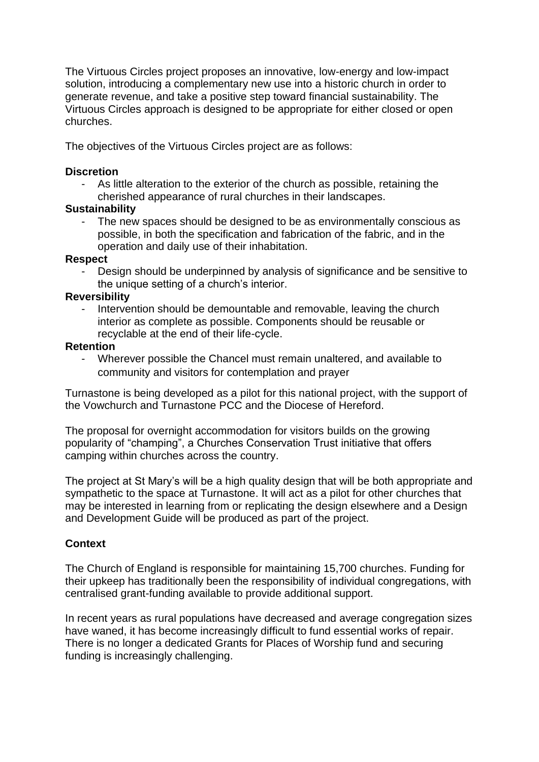The Virtuous Circles project proposes an innovative, low-energy and low-impact solution, introducing a complementary new use into a historic church in order to generate revenue, and take a positive step toward financial sustainability. The Virtuous Circles approach is designed to be appropriate for either closed or open churches.

The objectives of the Virtuous Circles project are as follows:

#### **Discretion**

As little alteration to the exterior of the church as possible, retaining the cherished appearance of rural churches in their landscapes.

## **Sustainability**

The new spaces should be designed to be as environmentally conscious as possible, in both the specification and fabrication of the fabric, and in the operation and daily use of their inhabitation.

## **Respect**

Design should be underpinned by analysis of significance and be sensitive to the unique setting of a church's interior.

## **Reversibility**

- Intervention should be demountable and removable, leaving the church interior as complete as possible. Components should be reusable or recyclable at the end of their life-cycle.

## **Retention**

Wherever possible the Chancel must remain unaltered, and available to community and visitors for contemplation and prayer

Turnastone is being developed as a pilot for this national project, with the support of the Vowchurch and Turnastone PCC and the Diocese of Hereford.

The proposal for overnight accommodation for visitors builds on the growing popularity of "champing", a Churches Conservation Trust initiative that offers camping within churches across the country.

The project at St Mary's will be a high quality design that will be both appropriate and sympathetic to the space at Turnastone. It will act as a pilot for other churches that may be interested in learning from or replicating the design elsewhere and a Design and Development Guide will be produced as part of the project.

# **Context**

The Church of England is responsible for maintaining 15,700 churches. Funding for their upkeep has traditionally been the responsibility of individual congregations, with centralised grant-funding available to provide additional support.

In recent years as rural populations have decreased and average congregation sizes have waned, it has become increasingly difficult to fund essential works of repair. There is no longer a dedicated Grants for Places of Worship fund and securing funding is increasingly challenging.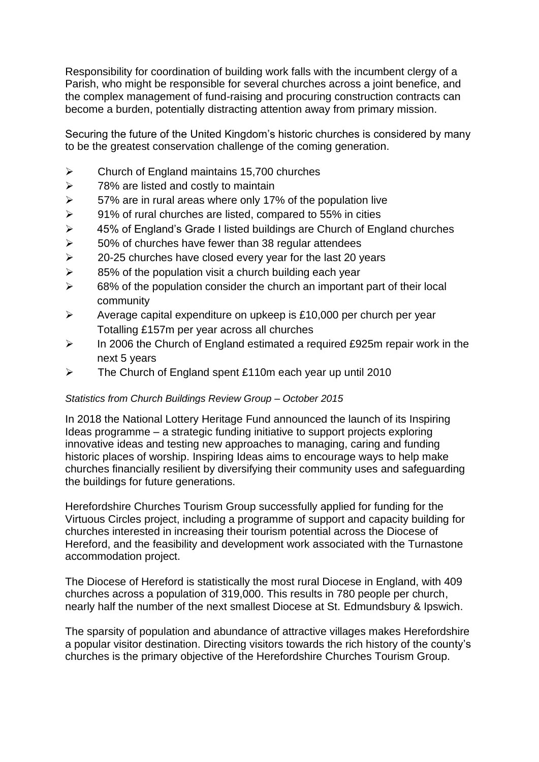Responsibility for coordination of building work falls with the incumbent clergy of a Parish, who might be responsible for several churches across a joint benefice, and the complex management of fund-raising and procuring construction contracts can become a burden, potentially distracting attention away from primary mission.

Securing the future of the United Kingdom's historic churches is considered by many to be the greatest conservation challenge of the coming generation.

- ➢ Church of England maintains 15,700 churches
- $\geq$  78% are listed and costly to maintain
- $\geq$  57% are in rural areas where only 17% of the population live
- $\geq$  91% of rural churches are listed, compared to 55% in cities
- ➢ 45% of England's Grade I listed buildings are Church of England churches
- $\geq$  50% of churches have fewer than 38 regular attendees
- $\geq$  20-25 churches have closed every year for the last 20 years
- $\geq$  85% of the population visit a church building each year
- $\geq$  68% of the population consider the church an important part of their local community
- $\triangleright$  Average capital expenditure on upkeep is £10,000 per church per year Totalling £157m per year across all churches
- $\geq$  In 2006 the Church of England estimated a required £925m repair work in the next 5 years
- ➢ The Church of England spent £110m each year up until 2010

#### *Statistics from Church Buildings Review Group – October 2015*

In 2018 the National Lottery Heritage Fund announced the launch of its Inspiring Ideas programme – a strategic funding initiative to support projects exploring innovative ideas and testing new approaches to managing, caring and funding historic places of worship. Inspiring Ideas aims to encourage ways to help make churches financially resilient by diversifying their community uses and safeguarding the buildings for future generations.

Herefordshire Churches Tourism Group successfully applied for funding for the Virtuous Circles project, including a programme of support and capacity building for churches interested in increasing their tourism potential across the Diocese of Hereford, and the feasibility and development work associated with the Turnastone accommodation project.

The Diocese of Hereford is statistically the most rural Diocese in England, with 409 churches across a population of 319,000. This results in 780 people per church, nearly half the number of the next smallest Diocese at St. Edmundsbury & Ipswich.

The sparsity of population and abundance of attractive villages makes Herefordshire a popular visitor destination. Directing visitors towards the rich history of the county's churches is the primary objective of the Herefordshire Churches Tourism Group.